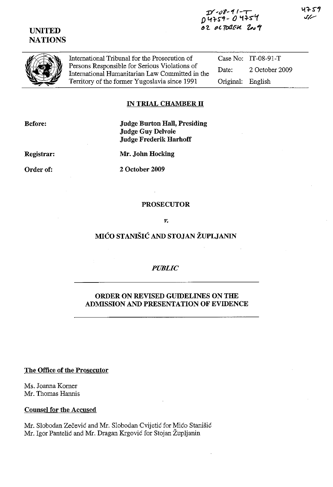# *:JY -tJ'I-"* **(-,**  <sup>~</sup>**'l. '" TOtlt:H. z,,, '(**

**UNITED NATIONS**  **f) L(r S"'i** - *0* '1 ~stt

International Tribunal for the Prosecution of Persons Responsible for Serious Violations of International Humanitarian Law Committed in the Territory of the former Yugoslavia since 1991

Case No: IT-08-91-T Date: 2 October 2009 Original: English

## **IN TRIAL CHAMBER 11**

**Before:** 

**Judge Burton HaIl, Presiding Judge Guy Delvoie Judge Frederik Harhoff** 

**Registrar:** 

**Mr. John Hocking** 

**Order of:** 

**2 October 2009** 

**PROSECUTOR** 

*v.* 

# **MIĆO STANIŠIĆ AND STOJAN ŽUPLJANIN**

*PUBLIC* 

## **ORDER ON REVISED GUIDELINES ON THE ADMISSION AND PRESENTATION OF EVIDENCE**

**The Office of the Prosecutor** 

Ms. Joanna Korner Mr. Thomas Hannis

**Counsel for the Accused** 

Mr. Slobodan Zecevic and Mr. Slobodan Cvijetic for Mico Stanisic Mr. Igor Pantelic and Mr. Dragan Krgovic for Stojan Župljanin

ハンピク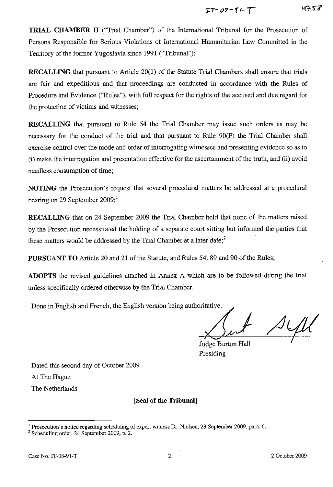**TRIAL CHAMBER IT** ("Trial Chamber") of the International Tribunal for the Prosecution of Persons Responsible for Serious Violations of International Humanitarian Law Committed in the Territory of the former Yugoslavia since 1991 ("Tribunal");

**RECALLING** that pursuant to Article 20(1) of the Statute Trial Chambers shall ensure that trials are fair and expeditious and that proceedings are conducted in accordance with the Rules of Procedure and Evidence ("Rules"), with full respect for the rights of the accused and due regard for the protection of victims and witnesses;

**RECALLING** that pursuant to Rule 54 the Trial Chamber may issue such orders as may be necessary for the conduct of the trial and that pursuant to Rule 90(F) the Trial Chamber shall exercise control over the mode and order of interrogating witnesses and presenting evidence so as to (i) make the interrogation and presentation effective for the ascertainment of the truth, and (ii) avoid needless consumption of time;

**NOTING** the Prosecution's request that several procedural matters be addressed at a procedural hearing on 29 September  $2009$ ;<sup>1</sup>

**RECALLING** that on 24 September 2009 the Trial Chamber held that none of the matters raised by the Prosecution necessitated the holding of a separate court sitting but informed the parties that these matters would be addressed by the Trial Chamber at a later date; $<sup>2</sup>$ </sup>

**PURSUANT TO** Article 20 and 21 of the Statute, and Rules 54, 89 and 90 of the Rules;

**ADOPTS** the revised guidelines attached in Annex A which are to be followed during the trial unless specifically ordered otherwise by the Trial Chamber.

Done in English and French, the English version being authoritative.

Judge Burton Hall Presiding

Dated this second day of October 2009

At The Hague

The Netherlands

### **[Seal of the Tribunal]**

<sup>&</sup>lt;sup>1</sup> Prosecution's notice regarding scheduling of expert witness Dr. Nielsen, 23 September 2009, para. 6.

<sup>2</sup> Scheduling order, 24 September 2009, p. 2.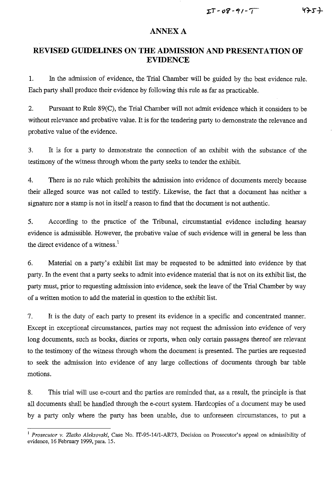#### **ANNEXA**

# **REVISED GUIDELINES ON THE ADMISSION AND PRESENTATION OF EVIDENCE**

1. In the admission of evidence, the Trial Chamber will be guided by the best evidence rule. Each party shall produce their evidence by following this rule as far as practicable.

2. Pursuant to Rule 89(C), the Trial Chamber will not admit evidence which it considers to be without relevance and probative value. It is for the tendering party to demonstrate the relevance and probative value of the evidence.

3. It is for a party to demonstrate the connection of an exhibit with the substance of the testimony of the witness through whom the party seeks to tender the exhibit.

4. There is no rule which prohibits the admission into evidence of documents merely because their alleged source was not called to testify. Likewise, the fact that a document has neither a signature nor a stamp is not in itself a reason to find that the document is not authentic.

5. According to the practice of the Tribunal, circumstantial evidence including hearsay evidence is admissible. However, the probative value of such evidence will in general be less than the direct evidence of a witness. $<sup>1</sup>$ </sup>

6. Material on a party's exhibit list may be requested to be admitted into evidence by that party. In the event that a party seeks to admit into evidence material that is not on its exhibit list, the party must, prior to requesting admission into evidence, seek the leave of the Trial Chamber by way of a written motion to add the material in question to the exhibit list.

7. It is the duty of each party to present its evidence in a specific and concentrated manner. Except in exceptional circumstances, parties may not request the admission into evidence of very long documents, such as books, diaries or reports, when only certain passages thereof are relevant to the testimony of the witness through whom the document is presented. The parties are requested to seek the admission into evidence of any large collections of documents through bar table motions.

8. This trial will use e-court and the parties are reminded that, as a result, the principle is that all documents shall be handled through the e-court system. Hardcopies of a document may be used by a party only where the party has been unable, due to unforeseen circumstances, to put a

<sup>1</sup>*Prosecutor v. Zlatko Aleksovski,* Case No. IT-95-14/l-AR73, Decision on Prosecutor's appeal on admissibility of evidence, 16 February 1999, para. 15.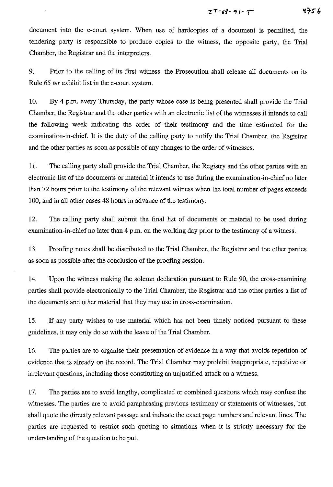document into the e-court system. When use of hardcopies of a document is permitted, the tendering party is responsible to produce copies to the witness, the opposite party, the Trial Chamber, the Registrar and the interpreters.

9. Prior to the calling of its first witness, the Prosecution shall release all documents on its Rule 65 *ter* exhibit list in the e-court system.

10. By 4 p.m. every Thursday, the party whose case is being presented shall provide the Trial Chamber, the Registrar and the other parties with an electronic list of the witnesses it intends to call the following week indicating the order of their testimony and the time estimated for the examination-in-chief. **It** is the duty of the calling party to notify the Trial Chamber, the Registrar and the other parties as soon as possible of any changes to the order of witnesses.

11. The calling party shall provide the Trial Chamber, the Registry and the other parties with an electronic list of the documents or material it intends to use during the examination-in-chief no later than 72 hours prior to the testimony of the relevant witness when the total number of pages exceeds 100, and in all other cases 48 hours in advance of the testimony.

12. The calling party shall submit the final list of documents or material to be used during examination-in-chief no later than 4 p.m. on the working day prior to the testimony of a witness.

13. Proofing notes shall be distributed to the Trial Chamber, the Registrar and the other parties as soon as possible after the conclusion of the proofing session.

14. Upon the witness making the solemn declaration pursuant to Rule 90, the cross-examining parties shall provide electronically to the Trial Chamber, the Registrar and the other parties a list of the documents and other material that they may use in cross-examination.

15. If any party wishes to use material which has not been timely noticed pursuant to these guidelines, it may only do so with the leave of the Trial Chamber.

16. The parties are to organise their presentation of evidence in a way that avoids repetition of evidence that is already on the record. The Trial Chamber may prohibit inappropriate, repetitive or irrelevant questions, including those constituting an unjustified attack on a witness.

17. The parties are to avoid lengthy, complicated or combined questions which may confuse the witnesses. The parties are to avoid paraphrasing previous testimony or statements of witnesses, but shall quote the directly relevant passage and indicate the exact page numbers and relevant lines. The parties are requested to restrict such quoting to situations when it is strictly necessary for the understanding of the question to be put.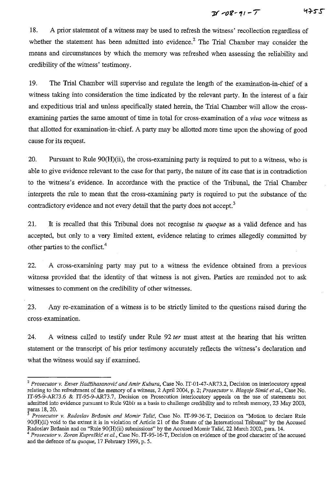18. A prior statement of a witness may be used to refresh the witness' recollection regardless of whether the statement has been admitted into evidence.<sup>2</sup> The Trial Chamber may consider the means and circumstances by which the memory was refreshed when assessing the reliability and credibility of the witness' testimony.

19. The Trial Chamber will supervise and regulate the length of the examination-in-chief of a witness taking into consideration the time indicated by the relevant party. In the interest of a fair and expeditious trial and unless specifically stated herein, the Trial Chamber will allow the crossexamining parties the same amount of time in total for cross-examination of a *viva voce* witness as that allotted for examination-in-chief. A party may be allotted more time upon the showing of good cause for its request.

20. Pursuant to Rule 90(H)(ii), the cross-examining party is required to put to a witness, who is able to give evidence relevant to the case for that party, the nature of its case that is in contradiction to the witness's evidence. In accordance with the practice of the Tribunal, the Trial Chamber interprets the rule to mean that the cross-examining party is required to put the substance of the contradictory evidence and not every detail that the party does not accept.<sup>3</sup>

21. It is recalled that this Tribunal does not recognise *tu quoque* as a valid defence and has accepted, but only to a very limited extent, evidence relating to crimes allegedly committed by other parties to the conflict.<sup>4</sup>

22. A cross-examining party may put to a witness the evidence obtained from a previous witness provided that the identity of that witness is not given. Parties are reminded not to ask witnesses to comment on the credibility of other witnesses.

23. Any re-examination of a witness is to be strictly limited to the questions raised during the cross-examination.

24. A witness called to testify under Rule 92 *ter* must attest at the hearing that his written statement or the transcript of his prior testimony accurately reflects the witness's declaration and what the witness would say if examined.

<sup>2</sup>*Prosecutor v. Enver Hadzihasanovic and Amir Kubura,* Case No. IT-0l-47-AR73.2, Decision on interlocutory appeal relating to the refreshment of the memory of a witness, 2 April 2004, p. 2; *Prosecutor v. B/agoje Simic et aI.,* Case No. IT-95-9-AR73.6 & IT-95-9-AR73.7, Decision on Prosecution interlocutory appeals on the use of statements not admitted into evidence pursuant to Rule *92bis* as a basis to challenge credibility and to refresh memory, 23 May 2003, paras 18,20.

*Prosecutor v. Radoslav Brdanin and Momir Talic,* Case No. IT-99-36-T, Decision on "Motion to declare Rule 90(H)(ii) void to the extent it *is* in violation of Article 21 of the Statute of the International Tribunal" by the Accused Radoslav Brđanin and on "Rule 90(H)(ii) submissions" by the Accused Momir Talić, 22 March 2002, para. 14.

<sup>4</sup>*Prosecutor v. Zoran Kupreskic et aI.,* Case No. IT-95-16-T, Decision on evidence of the good character of the accused and the defence of *tu quoque,* 17 February 1999, p. 5.